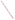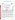## **THE ENVIRONMENTAL TECHNOLOGY VERIFICATION PROGRAM**

![](_page_1_Picture_1.jpeg)

![](_page_1_Picture_2.jpeg)

# **ETV Joint Verification Statement**

|                     | TECHNOLOGY TYPE: PORTABLE CYANIDE ANALYZER                                                                       |             |                                         |
|---------------------|------------------------------------------------------------------------------------------------------------------|-------------|-----------------------------------------|
| <b>APPLICATION:</b> | DETECTING CYANIDE IN WATER                                                                                       |             |                                         |
|                     | <b>TECHNOLOGY NAME: Cyanide Electrode CN 501</b><br>with Reference Electrode R503D,<br>and Ion Pocket Meter 340i |             |                                         |
| <b>COMPANY:</b>     | <b>WTW Measurement Systems</b>                                                                                   |             |                                         |
| <b>ADDRESS:</b>     | 3170 Metro Parkway<br>Ft. Myers, FL 33916-7597                                                                   | <b>FAX:</b> | PHONE: 1-239-337-7122<br>1-239-337-2045 |
| <b>WEB SITE:</b>    | http://wtw-inc.com                                                                                               |             |                                         |
| E-MAIL:             | info@wtw-inc.com                                                                                                 |             |                                         |

The U.S. Environmental Protection Agency (EPA) supports the Environmental Technology Verification (ETV) Program to facilitate the deployment of innovative or improved environmental technologies through performance verification and dissemination of information. The goal of the ETV Program is to further environmental protection by substantially accelerating the acceptance and use of improved and cost-effective technologies. ETV seeks to achieve this goal by providing high-quality, peer-reviewed data on technology performance to those involved in the design, distribution, financing, permitting, purchase, and use of environmental technologies.

ETV works in partnership with recognized standards and testing organizations, with stakeholder groups (consisting of buyers, vendor organizations, and permitters), and with individual technology developers. The program evaluates the performance of innovative technologies by developing test plans that are responsive to the needs of stakeholders, conducting field or laboratory tests (as appropriate), collecting and analyzing data, and preparing peer-reviewed reports. All evaluations are conducted in accordance with rigorous quality assurance (QA) protocols to ensure that data of known and adequate quality are generated and that the results are defensible.

The Advanced Monitoring Systems (AMS) Center, one of seven technology areas under ETV, is operated by Battelle in cooperation with EPA's National Exposure Research Laboratory. The AMS Center has recently evaluated the performance of cyanide analyzers used to detect cyanide in water. This verification statement provides a summary of the test results for the WTW Measurement Systems Cyanide Electrode CN 501 with the Reference Electrode R503D and Ion Pocket Meter 340i, which is referred to as the WTW ion selective electrode (ISE) in this verification statement.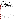#### **VERIFICATION TEST DESCRIPTION**

The verification was based on comparing the cyanide concentrations of water samples determined by the WTW ISE with cyanide concentrations determined by a laboratory-based reference method (EPA Method 335.1, *Cyanides Amenable to Chlorination*). Two WTW ISEs were tested independently between January 13 and February 4, 2003; and the results were compared to assess inter-unit reproducibility. Some PT samples were reanalyzed on February 24, 2003, due to a laboratory error. Operator bias was not evaluated for the ISE technologies, so all the results in this report were generated by a technical operator. Samples used in the verification test included quality control samples, performance test (PT) samples, lethal/near-lethal concentration samples, drinking water samples, and surface water samples. The results from the WTW ISE were compared with the reference method to quantitatively assess accuracy and linearity. Multiple aliquots of each test sample were analyzed separately to assess the precision of the WTW ISE and the reference method. To determine the detection limit, a solution with a concentration of 0.800 milligram per liter (mg/L) was used. Seven non-consecutive replicate analyses of this solution were made to obtain precision data with which to determine the method detection limit (MDL). Sample throughput was estimated based on the time required to analyze a sample. Ease of use was based on documented observations by the operator and the Battelle Verification Test Coordinator. The WTW ISE was used in a field environment as well as in a laboratory setting to assess the impact of field conditions on performance.

QA oversight of verification testing was provided by Battelle. Battelle QA staff conducted a technical systems audit, a performance evaluation audit, and a data quality audit of 10% of the test data.

#### **TECHNOLOGY DESCRIPTION**

The following description of the WTW ISE was provided by the vendor and does not represent verified information.

The WTW ISE consists of a solid sensing element containing a mixture of inorganic silver compounds bonded into the tip of an epoxy electrode body. When the sensing element is in contact with a cyanide solution, silver ions dissolve from the membrane surface. Silver ions within the sensing element move to the surface to replace the dissolved ions, establishing a potential difference that is dependent on the cyanide concentration in the solution. Upon calibration with solutions of known cyanide concentrations, these potential differences are converted to concentrations and displayed on a digital readout as mg/L when the WTW ISE is inserted into an unknown solution. WTW ISE accessories include a hard carrying case, an electrode stand, a one-meter cable, and a reference electrode filling solution. The list price for the provided items is \$985 for the Ion Pocket Meter 340i and carrying case, \$596 for the Cyanide Electrode CN501, and \$121 for the electrode stand. The WTW ISE operates on four AA batteries and has dimensions of 6.9 x 3.2 x 1.5 inches.

### **VERIFICATION OF PERFORMANCE**

**Calibration:** A three-point calibration using 0.200, 2.00, and 20.0 mg/L was typically performed as suggested by the manufacturer's instructions. The manufacturer suggested that the slope of the calibration linear regression be within the range of -54 to -60 millivolt (mV) per tenfold increase in cyanide concentration. The slopes attained were usually in this range or within 10% of this range. Regardless of whether the slope was within the suggested range, one calibration was performed and then the samples were analyzed.

**Accuracy:** Biases for the WTW ISE ranged from 2 to 17% for the PT samples with concentrations ranging from 0.030 to 25.0 mg/L; 31 to 128% for the surface water samples; 2 to 39% for the drinking water samples from around the country; and 3 to 44% for the Columbus, OH, drinking water samples. Since the latter three types of water samples contained no detectable cyanide, they were fortified with 2.00 mg/L of cyanide to test the performance of the WTW ISE in water matrices.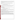Precision: Relative standard deviation (RSD) ranged from 1 to 23% for the PT samples, 5 to 10% for the surface water samples, 2 to 13% for the drinking water samples from around the country, and 2 to 10% for the Columbus, OH, drinking water samples.

**Linearity:** The results from the WTW ISE for the PT samples (0.030 to 25.0 mg/L) plotted against the concentrations of the same samples as determined by the reference method gives the following regression equation:

y (WTW ISE results in mg/L)=0.99 ( $\pm$  0.02) x (reference result in mg/L)  $+$  0.075 ( $\pm$  0.200) mg/L with r<sup>2</sup>=0.993 and N=64.

where the values in parentheses represent the 95% confidence interval of the slope and intercept. The slope is not significantly different from unity, the intercept is not significantly different from zero, and the  $r<sup>2</sup>$  value is above 0.99.

**Method Detection Limit:** The MDLs for the WTW ISE were determined to be 0.221 and 0.271 mg/L.

**Inter-Unit Reproducibility:** A linear regression of the data for the inter-unit reproducibility assessment gives the following regression equation:

y (Unit #1 result in mg/L)=1.113 ( $\pm$  0.017) x (Unit #2 result in mg/L)  $+ 0.028$  ( $\pm 0.095$ ) mg/L with r<sup>2</sup>=0.995 and N=92.

where the values in parentheses represent the 95% confidence interval of the slope and intercept. While the slope is significantly different from unity, further analysis of the data revealed that the deviation is heavily influenced by the 15- and 25-mg/L concentration levels.

**Lethal/Near-Lethal Dose Response:** The bias values ranged from 3 to 34%, and the RSD ranged from 2 to 19% for analysis of samples with concentrations of 50.0 to 250 mg/L.

**Field Portability:** From an operational standpoint, the WTW ISE was easily transported to the field setting, and the samples were analyzed in the same fashion as they were in the laboratory. While no functional aspects of the WTW ISE were compromised by performing the analyses in the field setting, close attention had to be paid to bringing the calibration solutions to a temperature similar to the samples.

**Ease of Use:** The instruction manual for the WTW ISE was not easy to understand. However, after a one-hour telephone consultation with WTW, the WTW ISE was easy to operate. The WTW ISE required calibration and electrode polishing before every sample set. Calibration concentrations were pre-programmed into the ISE meter, and pH adjustment was not necessary once the sample was preserved at a pH greater than 12.0. One drawback of the WTW ISE was that the battery-powered stirrer would not operate at the slow speeds recommended for making ISE measurements.